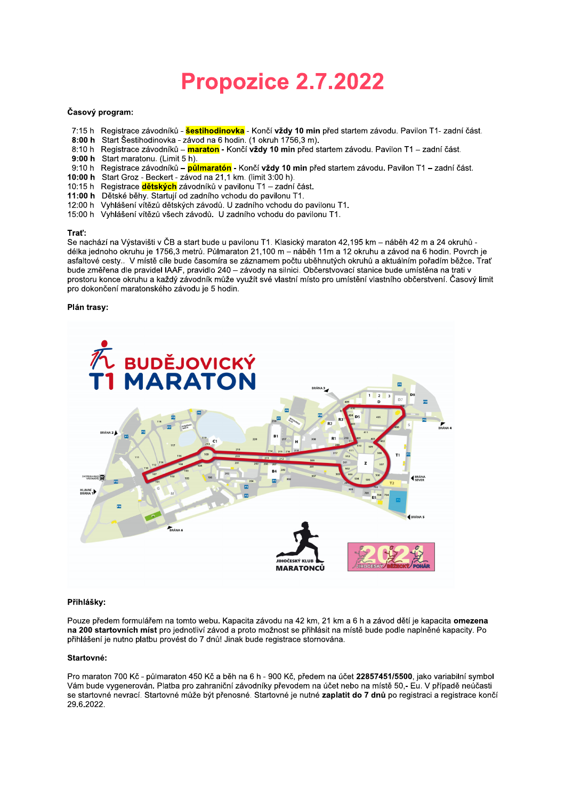# Propozice 2.7.2022

# Časový program:

- 7:15 h Registrace závodníků šestihodinovka Končí vždy 10 min před startem závodu. Pavilon T1- zadní část.
- 8:00 h Start Šestihodinovka závod na 6 hodin. (1 okruh 1756,3 m).
- 8:10 h Registrace závodníků maraton Končí vždy 10 min před startem závodu. Pavilon T1 zadní část.
- 9:00 h Start maratonu. (Limit 5 h).
- 9:10 h Registrace závodníků půlmaratón Končí vždy 10 min před startem závodu. Pavilon T1 zadní část.
- 10:00 h Start Groz Beckert závod na 21,1 km. (limit 3:00 h).
- 10:15 h Registrace dětských závodníků v pavilonu T1 zadní část.
- 11:00 h Dětské běhy. Startují od zadního vchodu do pavilonu T1.
- 12:00 h Vyhlášení vítězů dětských závodů. U zadního vchodu do pavilonu T1.
- 15:00 h Vyhlášení vítězů všech závodů. U zadního vchodu do pavilonu T1.

### Traf:

Se nachází na Výstavišti v ČB a start bude u pavilonu T1. Klasický maraton 42,195 km - náběh 42 m a 24 okruhů délka jednoho okruhu je 1756,3 metrů. Půlmaraton 21,100 m - náběh 11m a 12 okruhu a závod na 6 hodin. Povrch je asfaltové cesty.. V místě cíle bude časomíra se záznamem počtu uběhnutých okruhů a aktuálním pořadím běžce. Trať bude změřena dle pravidel IAAF, pravidlo 240 – závody na silnici. Občerstvovací stanice bude umístěna na trati v prostoru konce okruhu a každý závodník může využít své vlastní místo pro umístění vlastního občerstvení. Časový limit pro dokončení maratonského závodu je 5 hodin.

# Plán trasy:



#### Přihlášky:

Pouze předem formulářem na tomto webu. Kapacita závodu na 42 km, 21 km a 6 h a závod dětí je kapacita omezena na 200 startovních míst pro jednotliví závod a proto možnost se přihlásit na místě bude podle naplněné kapacity. Po přihlášení je nutno platbu provést do 7 dnů! Jinak bude registrace stornována.

### Startovné:

Pro maraton 700 Kč - půlmaraton 450 Kč a běh na 6 h - 900 Kč, předem na účet 22857451/5500, jako variabilní symbol Vám bude vygenerován. Platba pro zahraniční závodníky převodem na účet nebo na místě 50.- Eu. V případě neúčasti se startovné nevrací. Startovné může být přenosné. Startovné je nutné zaplatit do 7 dnů po registraci a registrace končí 29.6.2022.